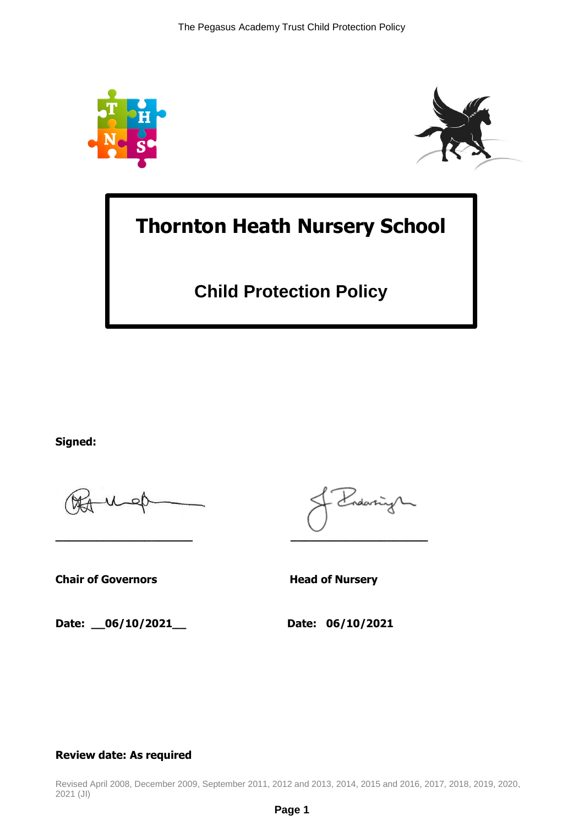



# **Thornton Heath Nursery School**

# **Child Protection Policy**

**Signed:**

**\_\_\_\_\_\_\_\_\_\_\_\_\_\_\_\_\_\_\_\_ \_\_\_\_\_\_\_\_\_\_\_\_\_\_\_\_\_\_\_\_**

**Chair of Governors Head of Nursery** 

**Date: \_\_06/10/2021\_\_ Date: 06/10/2021**

#### **Review date: As required**

Revised April 2008, December 2009, September 2011, 2012 and 2013, 2014, 2015 and 2016, 2017, 2018, 2019, 2020, 2021 (JI)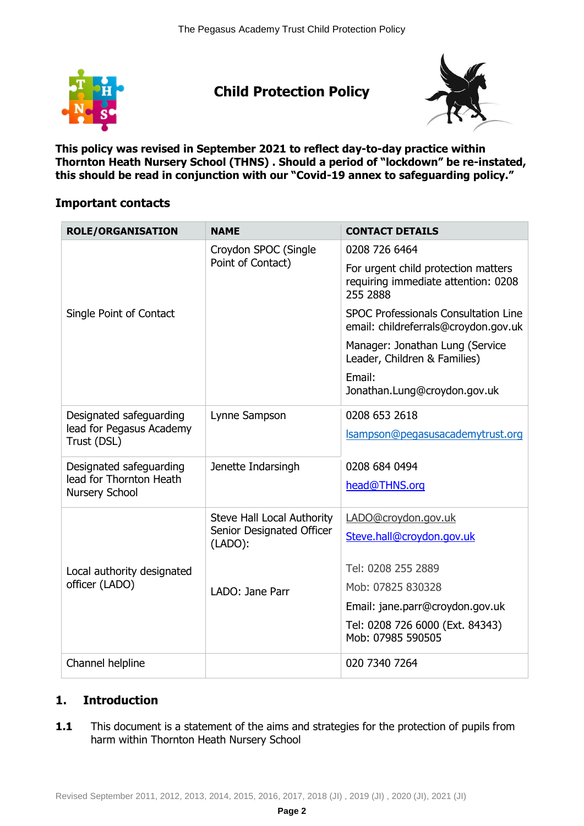

# **Child Protection Policy**



**This policy was revised in September 2021 to reflect day-to-day practice within Thornton Heath Nursery School (THNS) . Should a period of "lockdown" be re-instated, this should be read in conjunction with our "Covid-19 annex to safeguarding policy."**

### **Important contacts**

| <b>ROLE/ORGANISATION</b>                                                    | <b>NAME</b>                                                                  | <b>CONTACT DETAILS</b>                                                                 |
|-----------------------------------------------------------------------------|------------------------------------------------------------------------------|----------------------------------------------------------------------------------------|
| Single Point of Contact                                                     | Croydon SPOC (Single<br>Point of Contact)                                    | 0208 726 6464                                                                          |
|                                                                             |                                                                              | For urgent child protection matters<br>requiring immediate attention: 0208<br>255 2888 |
|                                                                             |                                                                              | <b>SPOC Professionals Consultation Line</b><br>email: childreferrals@croydon.gov.uk    |
|                                                                             |                                                                              | Manager: Jonathan Lung (Service<br>Leader, Children & Families)                        |
|                                                                             |                                                                              | Email:<br>Jonathan.Lung@croydon.gov.uk                                                 |
| Designated safeguarding<br>lead for Pegasus Academy<br>Trust (DSL)          | Lynne Sampson                                                                | 0208 653 2618                                                                          |
|                                                                             |                                                                              | Isampson@pegasusacademytrust.org                                                       |
| Designated safeguarding<br>lead for Thornton Heath<br><b>Nursery School</b> | Jenette Indarsingh                                                           | 0208 684 0494                                                                          |
|                                                                             |                                                                              | head@THNS.org                                                                          |
| Local authority designated<br>officer (LADO)                                | <b>Steve Hall Local Authority</b><br>Senior Designated Officer<br>$(LADO)$ : | LADO@croydon.gov.uk                                                                    |
|                                                                             |                                                                              | Steve.hall@croydon.gov.uk                                                              |
|                                                                             |                                                                              | Tel: 0208 255 2889                                                                     |
|                                                                             | LADO: Jane Parr                                                              | Mob: 07825 830328                                                                      |
|                                                                             |                                                                              | Email: jane.parr@croydon.gov.uk                                                        |
|                                                                             |                                                                              | Tel: 0208 726 6000 (Ext. 84343)<br>Mob: 07985 590505                                   |
| Channel helpline                                                            |                                                                              | 020 7340 7264                                                                          |

# **1. Introduction**

**1.1** This document is a statement of the aims and strategies for the protection of pupils from harm within Thornton Heath Nursery School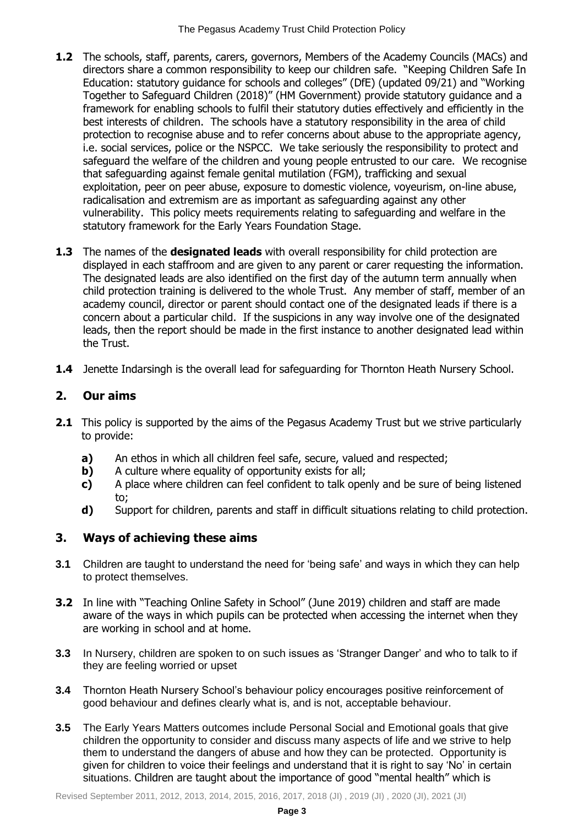- **1.2** The schools, staff, parents, carers, governors, Members of the Academy Councils (MACs) and directors share a common responsibility to keep our children safe. "Keeping Children Safe In Education: statutory guidance for schools and colleges" (DfE) (updated 09/21) and "Working Together to Safeguard Children (2018)" (HM Government) provide statutory guidance and a framework for enabling schools to fulfil their statutory duties effectively and efficiently in the best interests of children. The schools have a statutory responsibility in the area of child protection to recognise abuse and to refer concerns about abuse to the appropriate agency, i.e. social services, police or the NSPCC. We take seriously the responsibility to protect and safeguard the welfare of the children and young people entrusted to our care. We recognise that safeguarding against female genital mutilation (FGM), trafficking and sexual exploitation, peer on peer abuse, exposure to domestic violence, voyeurism, on-line abuse, radicalisation and extremism are as important as safeguarding against any other vulnerability. This policy meets requirements relating to safeguarding and welfare in the statutory framework for the Early Years Foundation Stage.
- **1.3** The names of the **designated leads** with overall responsibility for child protection are displayed in each staffroom and are given to any parent or carer requesting the information. The designated leads are also identified on the first day of the autumn term annually when child protection training is delivered to the whole Trust. Any member of staff, member of an academy council, director or parent should contact one of the designated leads if there is a concern about a particular child. If the suspicions in any way involve one of the designated leads, then the report should be made in the first instance to another designated lead within the Trust.
- **1.4** Jenette Indarsingh is the overall lead for safeguarding for Thornton Heath Nursery School.

# **2. Our aims**

- **2.1** This policy is supported by the aims of the Pegasus Academy Trust but we strive particularly to provide:
	- **a)** An ethos in which all children feel safe, secure, valued and respected;
	- **b)** A culture where equality of opportunity exists for all;
	- **c)** A place where children can feel confident to talk openly and be sure of being listened to;
	- **d)** Support for children, parents and staff in difficult situations relating to child protection.

# **3. Ways of achieving these aims**

- **3.1** Children are taught to understand the need for 'being safe' and ways in which they can help to protect themselves.
- **3.2** In line with "Teaching Online Safety in School" (June 2019) children and staff are made aware of the ways in which pupils can be protected when accessing the internet when they are working in school and at home.
- **3.3** In Nursery, children are spoken to on such issues as 'Stranger Danger' and who to talk to if they are feeling worried or upset
- **3.4** Thornton Heath Nursery School's behaviour policy encourages positive reinforcement of good behaviour and defines clearly what is, and is not, acceptable behaviour.
- **3.5** The Early Years Matters outcomes include Personal Social and Emotional goals that give children the opportunity to consider and discuss many aspects of life and we strive to help them to understand the dangers of abuse and how they can be protected. Opportunity is given for children to voice their feelings and understand that it is right to say 'No' in certain situations. Children are taught about the importance of good "mental health" which is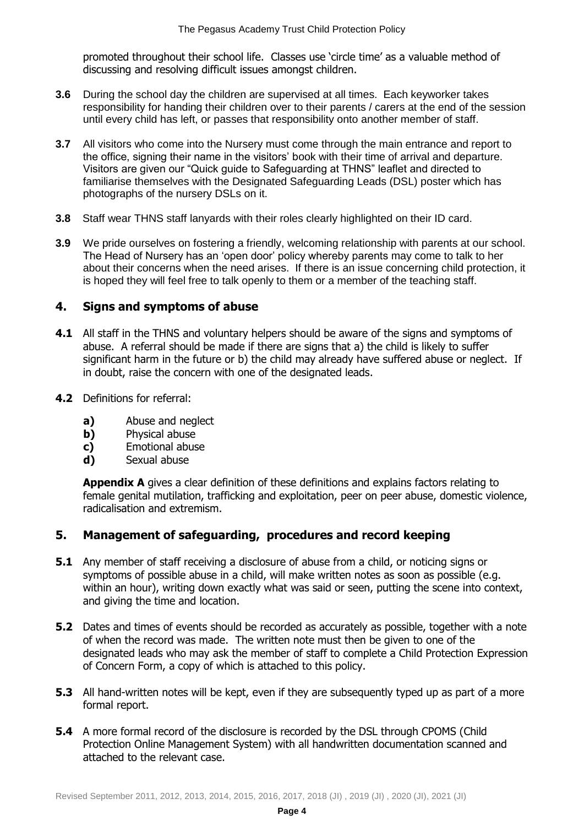promoted throughout their school life. Classes use 'circle time' as a valuable method of discussing and resolving difficult issues amongst children.

- **3.6** During the school day the children are supervised at all times. Each keyworker takes responsibility for handing their children over to their parents / carers at the end of the session until every child has left, or passes that responsibility onto another member of staff.
- **3.7** All visitors who come into the Nursery must come through the main entrance and report to the office, signing their name in the visitors' book with their time of arrival and departure. Visitors are given our "Quick guide to Safeguarding at THNS" leaflet and directed to familiarise themselves with the Designated Safeguarding Leads (DSL) poster which has photographs of the nursery DSLs on it.
- **3.8** Staff wear THNS staff lanyards with their roles clearly highlighted on their ID card.
- **3.9** We pride ourselves on fostering a friendly, welcoming relationship with parents at our school. The Head of Nursery has an 'open door' policy whereby parents may come to talk to her about their concerns when the need arises. If there is an issue concerning child protection, it is hoped they will feel free to talk openly to them or a member of the teaching staff.

### **4. Signs and symptoms of abuse**

- **4.1** All staff in the THNS and voluntary helpers should be aware of the signs and symptoms of abuse. A referral should be made if there are signs that a) the child is likely to suffer significant harm in the future or b) the child may already have suffered abuse or neglect. If in doubt, raise the concern with one of the designated leads.
- **4.2** Definitions for referral:
	- **a)** Abuse and neglect
	- **b)** Physical abuse
	- **c)** Emotional abuse
	- **d)** Sexual abuse

**Appendix A** gives a clear definition of these definitions and explains factors relating to female genital mutilation, trafficking and exploitation, peer on peer abuse, domestic violence, radicalisation and extremism.

# **5. Management of safeguarding, procedures and record keeping**

- **5.1** Any member of staff receiving a disclosure of abuse from a child, or noticing signs or symptoms of possible abuse in a child, will make written notes as soon as possible (e.g. within an hour), writing down exactly what was said or seen, putting the scene into context, and giving the time and location.
- **5.2** Dates and times of events should be recorded as accurately as possible, together with a note of when the record was made. The written note must then be given to one of the designated leads who may ask the member of staff to complete a Child Protection Expression of Concern Form, a copy of which is attached to this policy.
- **5.3** All hand-written notes will be kept, even if they are subsequently typed up as part of a more formal report.
- **5.4** A more formal record of the disclosure is recorded by the DSL through CPOMS (Child Protection Online Management System) with all handwritten documentation scanned and attached to the relevant case.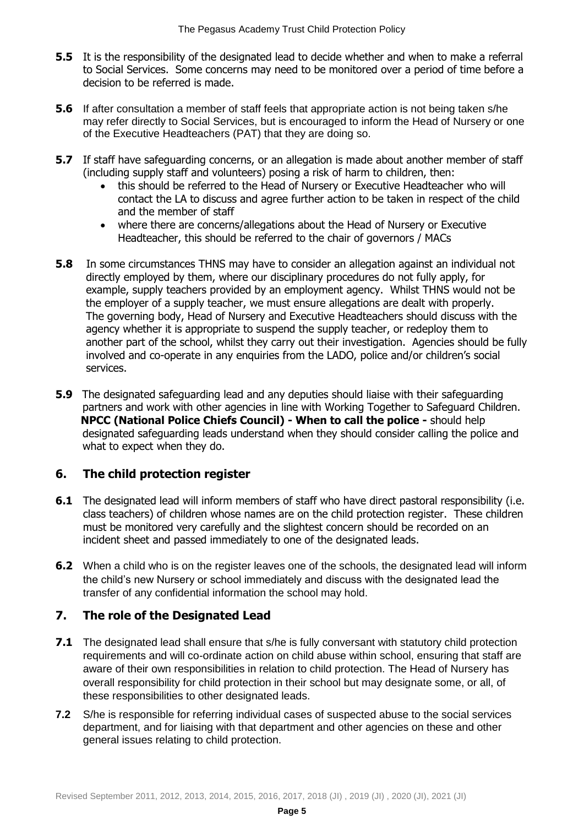- **5.5** It is the responsibility of the designated lead to decide whether and when to make a referral to Social Services. Some concerns may need to be monitored over a period of time before a decision to be referred is made.
- **5.6** If after consultation a member of staff feels that appropriate action is not being taken s/he may refer directly to Social Services, but is encouraged to inform the Head of Nursery or one of the Executive Headteachers (PAT) that they are doing so.
- **5.7** If staff have safeguarding concerns, or an allegation is made about another member of staff (including supply staff and volunteers) posing a risk of harm to children, then:
	- this should be referred to the Head of Nursery or Executive Headteacher who will contact the LA to discuss and agree further action to be taken in respect of the child and the member of staff
	- where there are concerns/allegations about the Head of Nursery or Executive Headteacher, this should be referred to the chair of governors / MACs
- **5.8** In some circumstances THNS may have to consider an allegation against an individual not directly employed by them, where our disciplinary procedures do not fully apply, for example, supply teachers provided by an employment agency. Whilst THNS would not be the employer of a supply teacher, we must ensure allegations are dealt with properly. The governing body, Head of Nursery and Executive Headteachers should discuss with the agency whether it is appropriate to suspend the supply teacher, or redeploy them to another part of the school, whilst they carry out their investigation. Agencies should be fully involved and co-operate in any enquiries from the LADO, police and/or children's social services.
- **5.9** The designated safeguarding lead and any deputies should liaise with their safeguarding partners and work with other agencies in line with Working Together to Safeguard Children.  **NPCC (National Police Chiefs Council) - When to call the police -** should help designated safeguarding leads understand when they should consider calling the police and what to expect when they do.

# **6. The child protection register**

- **6.1** The designated lead will inform members of staff who have direct pastoral responsibility (i.e. class teachers) of children whose names are on the child protection register. These children must be monitored very carefully and the slightest concern should be recorded on an incident sheet and passed immediately to one of the designated leads.
- **6.2** When a child who is on the register leaves one of the schools, the designated lead will inform the child's new Nursery or school immediately and discuss with the designated lead the transfer of any confidential information the school may hold.

# **7. The role of the Designated Lead**

- **7.1** The designated lead shall ensure that s/he is fully conversant with statutory child protection requirements and will co-ordinate action on child abuse within school, ensuring that staff are aware of their own responsibilities in relation to child protection. The Head of Nursery has overall responsibility for child protection in their school but may designate some, or all, of these responsibilities to other designated leads.
- **7.2** S/he is responsible for referring individual cases of suspected abuse to the social services department, and for liaising with that department and other agencies on these and other general issues relating to child protection.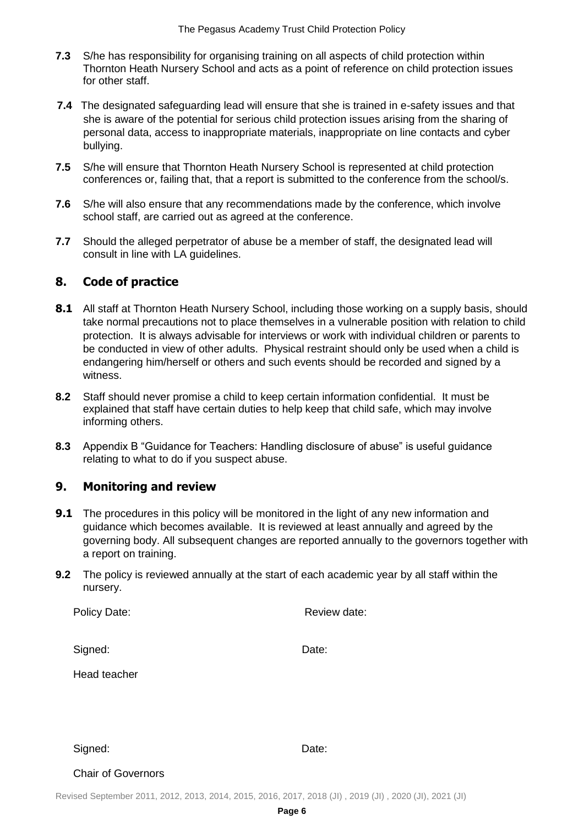- **7.3** S/he has responsibility for organising training on all aspects of child protection within Thornton Heath Nursery School and acts as a point of reference on child protection issues for other staff.
- **7.4** The designated safeguarding lead will ensure that she is trained in e-safety issues and that she is aware of the potential for serious child protection issues arising from the sharing of personal data, access to inappropriate materials, inappropriate on line contacts and cyber bullying.
- **7.5** S/he will ensure that Thornton Heath Nursery School is represented at child protection conferences or, failing that, that a report is submitted to the conference from the school/s.
- **7.6** S/he will also ensure that any recommendations made by the conference, which involve school staff, are carried out as agreed at the conference.
- **7.7** Should the alleged perpetrator of abuse be a member of staff, the designated lead will consult in line with LA guidelines.

### **8. Code of practice**

- **8.1** All staff at Thornton Heath Nursery School, including those working on a supply basis, should take normal precautions not to place themselves in a vulnerable position with relation to child protection. It is always advisable for interviews or work with individual children or parents to be conducted in view of other adults. Physical restraint should only be used when a child is endangering him/herself or others and such events should be recorded and signed by a witness.
- **8.2** Staff should never promise a child to keep certain information confidential. It must be explained that staff have certain duties to help keep that child safe, which may involve informing others.
- **8.3** Appendix B "Guidance for Teachers: Handling disclosure of abuse" is useful guidance relating to what to do if you suspect abuse.

#### **9. Monitoring and review**

- **9.1** The procedures in this policy will be monitored in the light of any new information and guidance which becomes available. It is reviewed at least annually and agreed by the governing body. All subsequent changes are reported annually to the governors together with a report on training.
- **9.2** The policy is reviewed annually at the start of each academic year by all staff within the nursery.

| Review date: |
|--------------|
|              |
|              |
|              |
|              |

Chair of Governors

Signed: Date: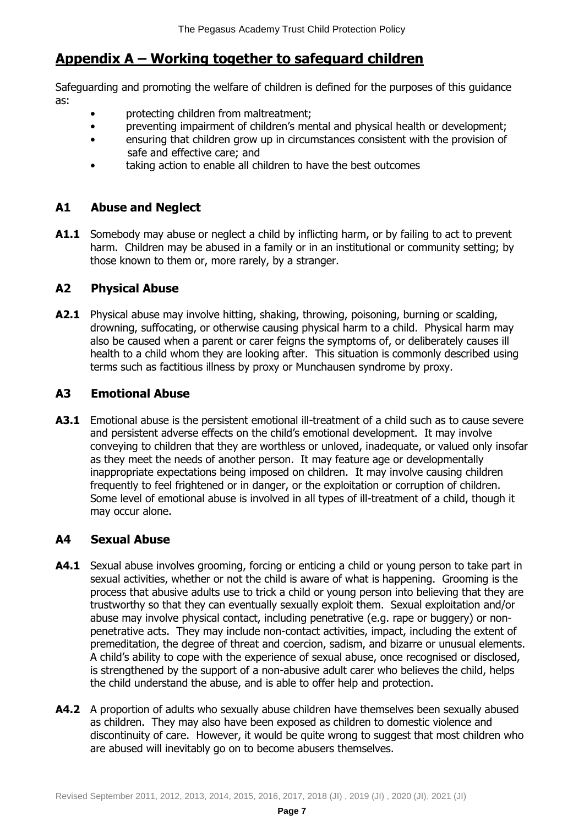# **Appendix A – Working together to safeguard children**

Safeguarding and promoting the welfare of children is defined for the purposes of this guidance as:

- protecting children from maltreatment;
- preventing impairment of children's mental and physical health or development;
- ensuring that children grow up in circumstances consistent with the provision of safe and effective care; and
- taking action to enable all children to have the best outcomes

# **A1 Abuse and Neglect**

**A1.1** Somebody may abuse or neglect a child by inflicting harm, or by failing to act to prevent harm. Children may be abused in a family or in an institutional or community setting; by those known to them or, more rarely, by a stranger.

# **A2 Physical Abuse**

**A2.1** Physical abuse may involve hitting, shaking, throwing, poisoning, burning or scalding, drowning, suffocating, or otherwise causing physical harm to a child. Physical harm may also be caused when a parent or carer feigns the symptoms of, or deliberately causes ill health to a child whom they are looking after. This situation is commonly described using terms such as factitious illness by proxy or Munchausen syndrome by proxy.

# **A3 Emotional Abuse**

**A3.1** Emotional abuse is the persistent emotional ill-treatment of a child such as to cause severe and persistent adverse effects on the child's emotional development. It may involve conveying to children that they are worthless or unloved, inadequate, or valued only insofar as they meet the needs of another person. It may feature age or developmentally inappropriate expectations being imposed on children. It may involve causing children frequently to feel frightened or in danger, or the exploitation or corruption of children. Some level of emotional abuse is involved in all types of ill-treatment of a child, though it may occur alone.

# **A4 Sexual Abuse**

- **A4.1** Sexual abuse involves grooming, forcing or enticing a child or young person to take part in sexual activities, whether or not the child is aware of what is happening. Grooming is the process that abusive adults use to trick a child or young person into believing that they are trustworthy so that they can eventually sexually exploit them. Sexual exploitation and/or abuse may involve physical contact, including penetrative (e.g. rape or buggery) or nonpenetrative acts. They may include non-contact activities, impact, including the extent of premeditation, the degree of threat and coercion, sadism, and bizarre or unusual elements. A child's ability to cope with the experience of sexual abuse, once recognised or disclosed, is strengthened by the support of a non-abusive adult carer who believes the child, helps the child understand the abuse, and is able to offer help and protection.
- **A4.2** A proportion of adults who sexually abuse children have themselves been sexually abused as children. They may also have been exposed as children to domestic violence and discontinuity of care. However, it would be quite wrong to suggest that most children who are abused will inevitably go on to become abusers themselves.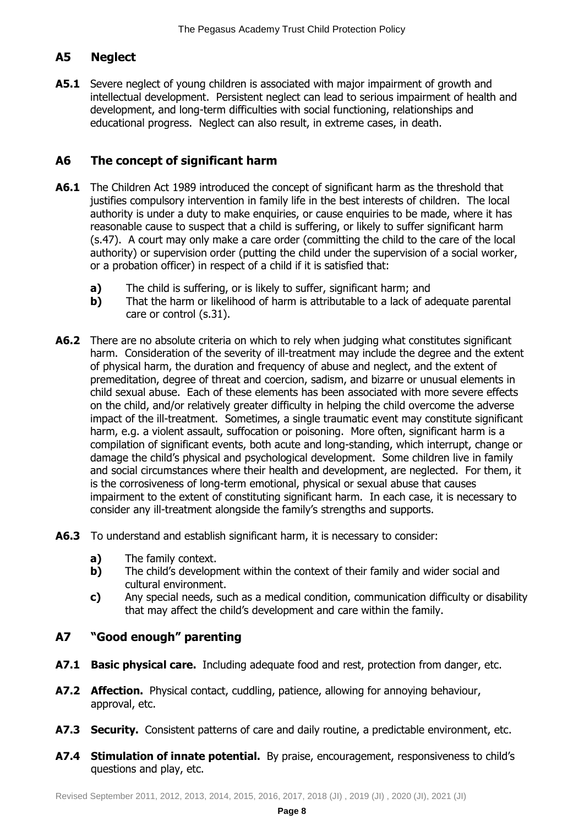# **A5 Neglect**

**A5.1** Severe neglect of young children is associated with major impairment of growth and intellectual development. Persistent neglect can lead to serious impairment of health and development, and long-term difficulties with social functioning, relationships and educational progress. Neglect can also result, in extreme cases, in death.

# **A6 The concept of significant harm**

- **A6.1** The Children Act 1989 introduced the concept of significant harm as the threshold that justifies compulsory intervention in family life in the best interests of children. The local authority is under a duty to make enquiries, or cause enquiries to be made, where it has reasonable cause to suspect that a child is suffering, or likely to suffer significant harm (s.47). A court may only make a care order (committing the child to the care of the local authority) or supervision order (putting the child under the supervision of a social worker, or a probation officer) in respect of a child if it is satisfied that:
	- **a)** The child is suffering, or is likely to suffer, significant harm; and
	- **b)** That the harm or likelihood of harm is attributable to a lack of adequate parental care or control (s.31).
- **A6.2** There are no absolute criteria on which to rely when judging what constitutes significant harm. Consideration of the severity of ill-treatment may include the degree and the extent of physical harm, the duration and frequency of abuse and neglect, and the extent of premeditation, degree of threat and coercion, sadism, and bizarre or unusual elements in child sexual abuse. Each of these elements has been associated with more severe effects on the child, and/or relatively greater difficulty in helping the child overcome the adverse impact of the ill-treatment. Sometimes, a single traumatic event may constitute significant harm, e.g. a violent assault, suffocation or poisoning. More often, significant harm is a compilation of significant events, both acute and long-standing, which interrupt, change or damage the child's physical and psychological development. Some children live in family and social circumstances where their health and development, are neglected. For them, it is the corrosiveness of long-term emotional, physical or sexual abuse that causes impairment to the extent of constituting significant harm. In each case, it is necessary to consider any ill-treatment alongside the family's strengths and supports.
- **A6.3** To understand and establish significant harm, it is necessary to consider:
	- **a)** The family context.
	- **b)** The child's development within the context of their family and wider social and cultural environment.
	- **c)** Any special needs, such as a medical condition, communication difficulty or disability that may affect the child's development and care within the family.

# **A7 "Good enough" parenting**

- **A7.1 Basic physical care.** Including adequate food and rest, protection from danger, etc.
- **A7.2 Affection.** Physical contact, cuddling, patience, allowing for annoying behaviour, approval, etc.
- **A7.3 Security.** Consistent patterns of care and daily routine, a predictable environment, etc.
- **A7.4 Stimulation of innate potential.** By praise, encouragement, responsiveness to child's questions and play, etc.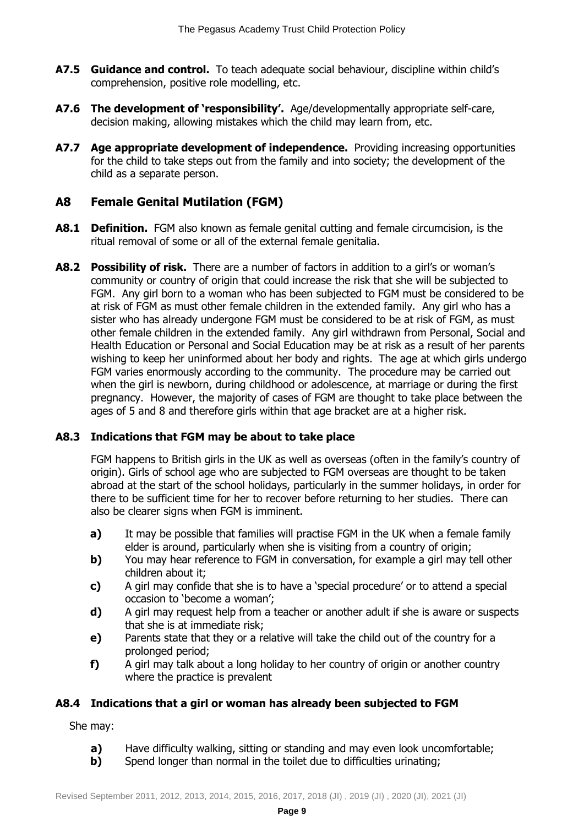- **A7.5 Guidance and control.** To teach adequate social behaviour, discipline within child's comprehension, positive role modelling, etc.
- **A7.6 The development of 'responsibility'.** Age/developmentally appropriate self-care, decision making, allowing mistakes which the child may learn from, etc.
- **A7.7 Age appropriate development of independence.** Providing increasing opportunities for the child to take steps out from the family and into society; the development of the child as a separate person.

# **A8 Female Genital Mutilation (FGM)**

- **A8.1 Definition.** FGM also known as female genital cutting and female circumcision, is the ritual removal of some or all of the external female genitalia.
- **A8.2 Possibility of risk.** There are a number of factors in addition to a girl's or woman's community or country of origin that could increase the risk that she will be subjected to FGM. Any girl born to a woman who has been subjected to FGM must be considered to be at risk of FGM as must other female children in the extended family. Any girl who has a sister who has already undergone FGM must be considered to be at risk of FGM, as must other female children in the extended family. Any girl withdrawn from Personal, Social and Health Education or Personal and Social Education may be at risk as a result of her parents wishing to keep her uninformed about her body and rights. The age at which girls undergo FGM varies enormously according to the community. The procedure may be carried out when the girl is newborn, during childhood or adolescence, at marriage or during the first pregnancy. However, the majority of cases of FGM are thought to take place between the ages of 5 and 8 and therefore girls within that age bracket are at a higher risk.

#### **A8.3 Indications that FGM may be about to take place**

FGM happens to British girls in the UK as well as overseas (often in the family's country of origin). Girls of school age who are subjected to FGM overseas are thought to be taken abroad at the start of the school holidays, particularly in the summer holidays, in order for there to be sufficient time for her to recover before returning to her studies. There can also be clearer signs when FGM is imminent.

- **a)** It may be possible that families will practise FGM in the UK when a female family elder is around, particularly when she is visiting from a country of origin;
- **b)** You may hear reference to FGM in conversation, for example a girl may tell other children about it;
- **c)** A girl may confide that she is to have a 'special procedure' or to attend a special occasion to 'become a woman';
- **d)** A girl may request help from a teacher or another adult if she is aware or suspects that she is at immediate risk;
- **e)** Parents state that they or a relative will take the child out of the country for a prolonged period;
- **f)** A girl may talk about a long holiday to her country of origin or another country where the practice is prevalent

#### **A8.4 Indications that a girl or woman has already been subjected to FGM**

She may:

- **a)** Have difficulty walking, sitting or standing and may even look uncomfortable:
- **b)** Spend longer than normal in the toilet due to difficulties urinating;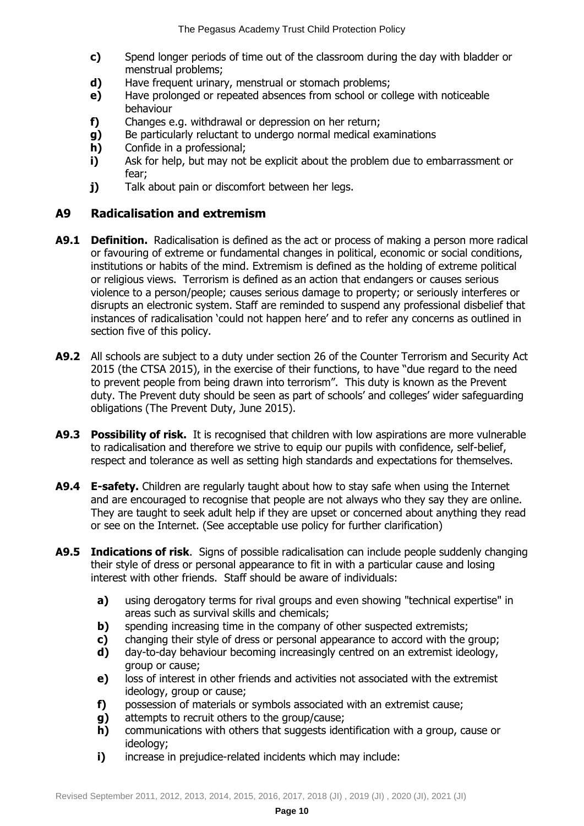- **c)** Spend longer periods of time out of the classroom during the day with bladder or menstrual problems;
- **d)** Have frequent urinary, menstrual or stomach problems;
- **e)** Have prolonged or repeated absences from school or college with noticeable behaviour
- **f)** Changes e.g. withdrawal or depression on her return;
- **g)** Be particularly reluctant to undergo normal medical examinations
- **h)** Confide in a professional;
- **i)** Ask for help, but may not be explicit about the problem due to embarrassment or fear;
- **j)** Talk about pain or discomfort between her legs.

# **A9 Radicalisation and extremism**

- **A9.1 Definition.** Radicalisation is defined as the act or process of making a person more radical or favouring of extreme or fundamental changes in political, economic or social conditions, institutions or habits of the mind. Extremism is defined as the holding of extreme political or religious views.Terrorism is defined as an action that endangers or causes serious violence to a person/people; causes serious damage to property; or seriously interferes or disrupts an electronic system. Staff are reminded to suspend any professional disbelief that instances of radicalisation 'could not happen here' and to refer any concerns as outlined in section five of this policy.
- **A9.2** All schools are subject to a duty under section 26 of the Counter Terrorism and Security Act 2015 (the CTSA 2015), in the exercise of their functions, to have "due regard to the need to prevent people from being drawn into terrorism". This duty is known as the Prevent duty. The Prevent duty should be seen as part of schools' and colleges' wider safeguarding obligations (The Prevent Duty, June 2015).
- **A9.3 Possibility of risk.** It is recognised that children with low aspirations are more vulnerable to radicalisation and therefore we strive to equip our pupils with confidence, self-belief, respect and tolerance as well as setting high standards and expectations for themselves.
- **A9.4 E-safety.** Children are regularly taught about how to stay safe when using the Internet and are encouraged to recognise that people are not always who they say they are online. They are taught to seek adult help if they are upset or concerned about anything they read or see on the Internet. (See acceptable use policy for further clarification)
- **A9.5 Indications of risk**. Signs of possible radicalisation can include people suddenly changing their style of dress or personal appearance to fit in with a particular cause and losing interest with other friends. Staff should be aware of individuals:
	- **a)** using derogatory terms for rival groups and even showing "technical expertise" in areas such as survival skills and chemicals;
	- **b)** spending increasing time in the company of other suspected extremists;
	- **c)** changing their style of dress or personal appearance to accord with the group;
	- **d)** day-to-day behaviour becoming increasingly centred on an extremist ideology, group or cause;
	- **e)** loss of interest in other friends and activities not associated with the extremist ideology, group or cause;
	- **f)** possession of materials or symbols associated with an extremist cause;
	- **g)** attempts to recruit others to the group/cause;
	- **h)** communications with others that suggests identification with a group, cause or ideology;
	- **i)** increase in prejudice-related incidents which may include: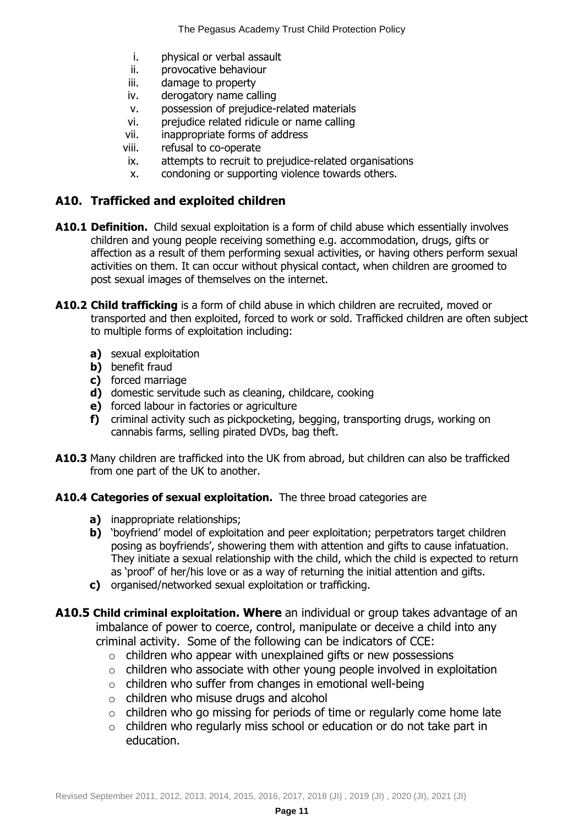- i. physical or verbal assault
- ii. provocative behaviour
- iii. damage to property
- iv. derogatory name calling
- v. possession of prejudice-related materials
- vi. prejudice related ridicule or name calling
- vii. inappropriate forms of address
- viii. refusal to co-operate
- ix. attempts to recruit to prejudice-related organisations
- x. condoning or supporting violence towards others.

### **A10. Trafficked and exploited children**

- **A10.1 Definition.** Child sexual exploitation is a form of child abuse which essentially involves children and young people receiving something e.g. accommodation, drugs, gifts or affection as a result of them performing sexual activities, or having others perform sexual activities on them. It can occur without physical contact, when children are groomed to post sexual images of themselves on the internet.
- **A10.2 Child trafficking** is a form of child abuse in which children are recruited, moved or transported and then exploited, forced to work or sold. Trafficked children are often subject to multiple forms of exploitation including:
	- **a)** sexual exploitation
	- **b)** benefit fraud
	- **c)** forced marriage
	- **d)** domestic servitude such as cleaning, childcare, cooking
	- **e)** forced labour in factories or agriculture
	- **f)** criminal activity such as pickpocketing, begging, transporting drugs, working on cannabis farms, selling pirated DVDs, bag theft.
- **A10.3** Many children are trafficked into the UK from abroad, but children can also be trafficked from one part of the UK to another.

#### **A10.4 Categories of sexual exploitation.** The three broad categories are

- **a)** inappropriate relationships;
- **b)** 'boyfriend' model of exploitation and peer exploitation; perpetrators target children posing as boyfriends', showering them with attention and gifts to cause infatuation. They initiate a sexual relationship with the child, which the child is expected to return as 'proof' of her/his love or as a way of returning the initial attention and gifts.
- **c)** organised/networked sexual exploitation or trafficking.
- **A10.5 Child criminal exploitation. Where** an individual or group takes advantage of an imbalance of power to coerce, control, manipulate or deceive a child into any criminal activity. Some of the following can be indicators of CCE:
	- $\circ$  children who appear with unexplained gifts or new possessions
	- $\circ$  children who associate with other young people involved in exploitation
	- o children who suffer from changes in emotional well-being
	- o children who misuse drugs and alcohol
	- $\circ$  children who go missing for periods of time or regularly come home late
	- o children who regularly miss school or education or do not take part in education.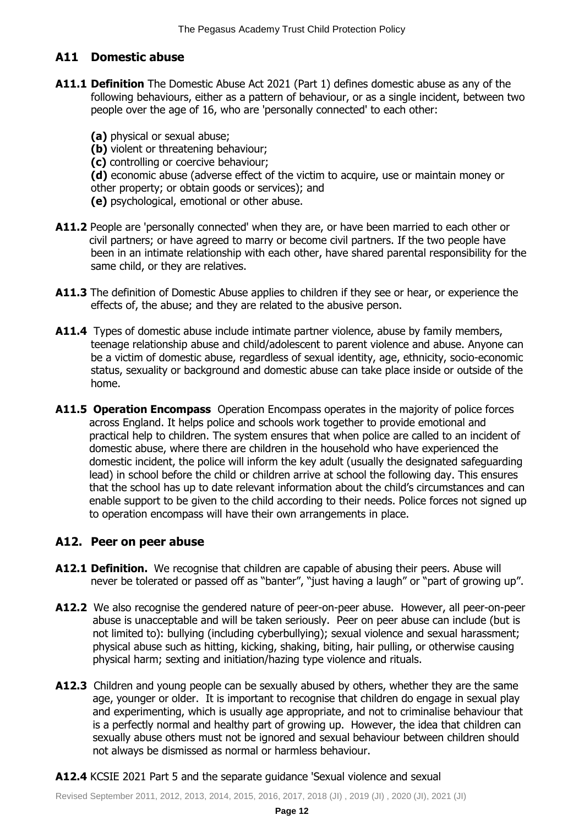# **A11 Domestic abuse**

- **A11.1 Definition** The Domestic Abuse Act 2021 (Part 1) defines domestic abuse as any of the following behaviours, either as a pattern of behaviour, or as a single incident, between two people over the age of 16, who are 'personally connected' to each other:
	- **(a)** physical or sexual abuse;
	- **(b)** violent or threatening behaviour;
	- **(c)** controlling or coercive behaviour;

**(d)** economic abuse (adverse effect of the victim to acquire, use or maintain money or other property; or obtain goods or services); and

- **(e)** psychological, emotional or other abuse.
- **A11.2** People are 'personally connected' when they are, or have been married to each other or civil partners; or have agreed to marry or become civil partners. If the two people have been in an intimate relationship with each other, have shared parental responsibility for the same child, or they are relatives.
- **A11.3** The definition of Domestic Abuse applies to children if they see or hear, or experience the effects of, the abuse; and they are related to the abusive person.
- **A11.4** Types of domestic abuse include intimate partner violence, abuse by family members, teenage relationship abuse and child/adolescent to parent violence and abuse. Anyone can be a victim of domestic abuse, regardless of sexual identity, age, ethnicity, socio-economic status, sexuality or background and domestic abuse can take place inside or outside of the home.
- **A11.5 Operation Encompass** Operation Encompass operates in the majority of police forces across England. It helps police and schools work together to provide emotional and practical help to children. The system ensures that when police are called to an incident of domestic abuse, where there are children in the household who have experienced the domestic incident, the police will inform the key adult (usually the designated safeguarding lead) in school before the child or children arrive at school the following day. This ensures that the school has up to date relevant information about the child's circumstances and can enable support to be given to the child according to their needs. Police forces not signed up to operation encompass will have their own arrangements in place.

#### **A12. Peer on peer abuse**

- **A12.1 Definition.** We recognise that children are capable of abusing their peers. Abuse will never be tolerated or passed off as "banter", "just having a laugh" or "part of growing up".
- **A12.2** We also recognise the gendered nature of peer-on-peer abuse. However, all peer-on-peer abuse is unacceptable and will be taken seriously. Peer on peer abuse can include (but is not limited to): bullying (including cyberbullying); sexual violence and sexual harassment; physical abuse such as hitting, kicking, shaking, biting, hair pulling, or otherwise causing physical harm; sexting and initiation/hazing type violence and rituals.
- **A12.3** Children and young people can be sexually abused by others, whether they are the same age, younger or older. It is important to recognise that children do engage in sexual play and experimenting, which is usually age appropriate, and not to criminalise behaviour that is a perfectly normal and healthy part of growing up. However, the idea that children can sexually abuse others must not be ignored and sexual behaviour between children should not always be dismissed as normal or harmless behaviour.

#### **A12.4** KCSIE 2021 Part 5 and the separate guidance 'Sexual violence and sexual

Revised September 2011, 2012, 2013, 2014, 2015, 2016, 2017, 2018 (JI) , 2019 (JI) , 2020 (JI), 2021 (JI)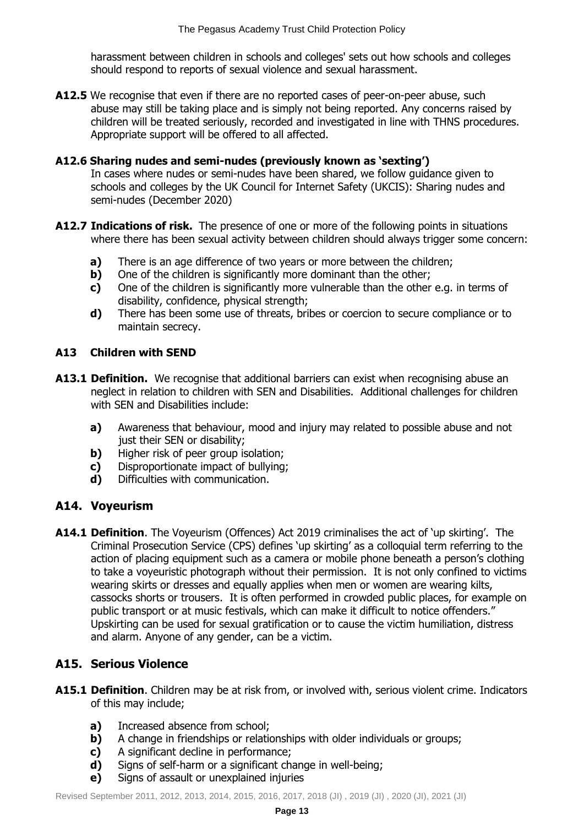harassment between children in schools and colleges' sets out how schools and colleges should respond to reports of sexual violence and sexual harassment.

**A12.5** We recognise that even if there are no reported cases of peer-on-peer abuse, such abuse may still be taking place and is simply not being reported. Any concerns raised by children will be treated seriously, recorded and investigated in line with THNS procedures. Appropriate support will be offered to all affected.

#### **A12.6 Sharing nudes and semi-nudes (previously known as 'sexting')**

In cases where nudes or semi-nudes have been shared, we follow guidance given to schools and colleges by the UK Council for Internet Safety (UKCIS): Sharing nudes and semi-nudes (December 2020)

- **A12.7 Indications of risk.** The presence of one or more of the following points in situations where there has been sexual activity between children should always trigger some concern:
	- **a)** There is an age difference of two years or more between the children;
	- **b)** One of the children is significantly more dominant than the other:
	- **c)** One of the children is significantly more vulnerable than the other e.g. in terms of disability, confidence, physical strength;
	- **d)** There has been some use of threats, bribes or coercion to secure compliance or to maintain secrecy.

#### **A13 Children with SEND**

- **A13.1 Definition.** We recognise that additional barriers can exist when recognising abuse an neglect in relation to children with SEN and Disabilities. Additional challenges for children with SEN and Disabilities include:
	- **a)** Awareness that behaviour, mood and injury may related to possible abuse and not just their SEN or disability;
	- **b)** Higher risk of peer group isolation;
	- **c)** Disproportionate impact of bullying;
	- **d)** Difficulties with communication.

#### **A14. Voyeurism**

**A14.1 Definition**. The Voyeurism (Offences) Act 2019 criminalises the act of 'up skirting'. The Criminal Prosecution Service (CPS) defines 'up skirting' as a colloquial term referring to the action of placing equipment such as a camera or mobile phone beneath a person's clothing to take a voyeuristic photograph without their permission. It is not only confined to victims wearing skirts or dresses and equally applies when men or women are wearing kilts, cassocks shorts or trousers. It is often performed in crowded public places, for example on public transport or at music festivals, which can make it difficult to notice offenders." Upskirting can be used for sexual gratification or to cause the victim humiliation, distress and alarm. Anyone of any gender, can be a victim.

# **A15. Serious Violence**

- **A15.1 Definition**. Children may be at risk from, or involved with, serious violent crime. Indicators of this may include;
	- **a)** Increased absence from school;
	- **b)** A change in friendships or relationships with older individuals or groups;
	- **c)** A significant decline in performance;
	- **d)** Signs of self-harm or a significant change in well-being;
	- **e)** Signs of assault or unexplained injuries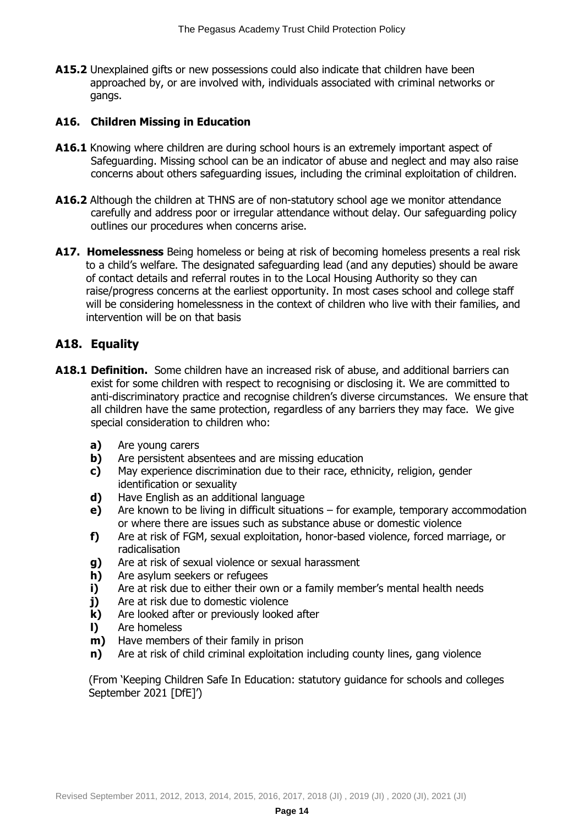**A15.2** Unexplained gifts or new possessions could also indicate that children have been approached by, or are involved with, individuals associated with criminal networks or gangs.

#### **A16. Children Missing in Education**

- **A16.1** Knowing where children are during school hours is an extremely important aspect of Safeguarding. Missing school can be an indicator of abuse and neglect and may also raise concerns about others safeguarding issues, including the criminal exploitation of children.
- **A16.2** Although the children at THNS are of non-statutory school age we monitor attendance carefully and address poor or irregular attendance without delay. Our safeguarding policy outlines our procedures when concerns arise.
- **A17. Homelessness** Being homeless or being at risk of becoming homeless presents a real risk to a child's welfare. The designated safeguarding lead (and any deputies) should be aware of contact details and referral routes in to the Local Housing Authority so they can raise/progress concerns at the earliest opportunity. In most cases school and college staff will be considering homelessness in the context of children who live with their families, and intervention will be on that basis

# **A18. Equality**

- **A18.1 Definition.** Some children have an increased risk of abuse, and additional barriers can exist for some children with respect to recognising or disclosing it. We are committed to anti-discriminatory practice and recognise children's diverse circumstances. We ensure that all children have the same protection, regardless of any barriers they may face. We give special consideration to children who:
	- **a)** Are young carers
	- **b)** Are persistent absentees and are missing education
	- **c)** May experience discrimination due to their race, ethnicity, religion, gender identification or sexuality
	- **d)** Have English as an additional language
	- **e)** Are known to be living in difficult situations for example, temporary accommodation or where there are issues such as substance abuse or domestic violence
	- **f)** Are at risk of FGM, sexual exploitation, honor-based violence, forced marriage, or radicalisation
	- **g)** Are at risk of sexual violence or sexual harassment
	- **h)** Are asylum seekers or refugees
	- **i)** Are at risk due to either their own or a family member's mental health needs
	- **j)** Are at risk due to domestic violence
	- **k)** Are looked after or previously looked after
	- **l)** Are homeless
	- **m)** Have members of their family in prison
	- **n)** Are at risk of child criminal exploitation including county lines, gang violence

(From 'Keeping Children Safe In Education: statutory guidance for schools and colleges September 2021 [DfE]')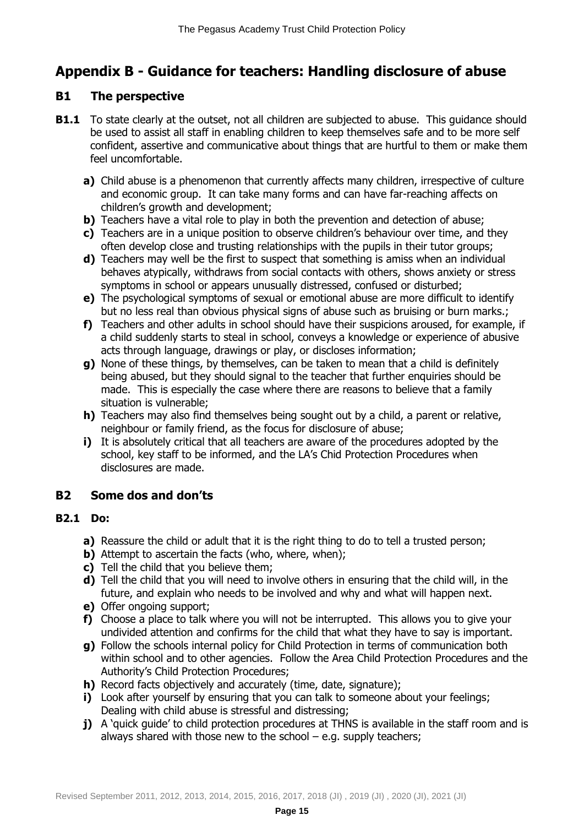# **Appendix B - Guidance for teachers: Handling disclosure of abuse**

# **B1 The perspective**

- **B1.1** To state clearly at the outset, not all children are subjected to abuse. This quidance should be used to assist all staff in enabling children to keep themselves safe and to be more self confident, assertive and communicative about things that are hurtful to them or make them feel uncomfortable.
	- **a)** Child abuse is a phenomenon that currently affects many children, irrespective of culture and economic group. It can take many forms and can have far-reaching affects on children's growth and development;
	- **b)** Teachers have a vital role to play in both the prevention and detection of abuse;
	- **c)** Teachers are in a unique position to observe children's behaviour over time, and they often develop close and trusting relationships with the pupils in their tutor groups;
	- **d)** Teachers may well be the first to suspect that something is amiss when an individual behaves atypically, withdraws from social contacts with others, shows anxiety or stress symptoms in school or appears unusually distressed, confused or disturbed;
	- **e)** The psychological symptoms of sexual or emotional abuse are more difficult to identify but no less real than obvious physical signs of abuse such as bruising or burn marks.;
	- **f)** Teachers and other adults in school should have their suspicions aroused, for example, if a child suddenly starts to steal in school, conveys a knowledge or experience of abusive acts through language, drawings or play, or discloses information;
	- **g)** None of these things, by themselves, can be taken to mean that a child is definitely being abused, but they should signal to the teacher that further enquiries should be made. This is especially the case where there are reasons to believe that a family situation is vulnerable;
	- **h)** Teachers may also find themselves being sought out by a child, a parent or relative, neighbour or family friend, as the focus for disclosure of abuse;
	- **i)** It is absolutely critical that all teachers are aware of the procedures adopted by the school, key staff to be informed, and the LA's Chid Protection Procedures when disclosures are made.

# **B2 Some dos and don'ts**

#### **B2.1 Do:**

- **a)** Reassure the child or adult that it is the right thing to do to tell a trusted person;
- **b)** Attempt to ascertain the facts (who, where, when);
- **c)** Tell the child that you believe them;
- **d)** Tell the child that you will need to involve others in ensuring that the child will, in the future, and explain who needs to be involved and why and what will happen next.
- **e)** Offer ongoing support;
- **f)** Choose a place to talk where you will not be interrupted. This allows you to give your undivided attention and confirms for the child that what they have to say is important.
- **g)** Follow the schools internal policy for Child Protection in terms of communication both within school and to other agencies. Follow the Area Child Protection Procedures and the Authority's Child Protection Procedures;
- **h)** Record facts objectively and accurately (time, date, signature);
- **i)** Look after yourself by ensuring that you can talk to someone about your feelings; Dealing with child abuse is stressful and distressing;
- **j)** A 'quick guide' to child protection procedures at THNS is available in the staff room and is always shared with those new to the school  $-$  e.g. supply teachers;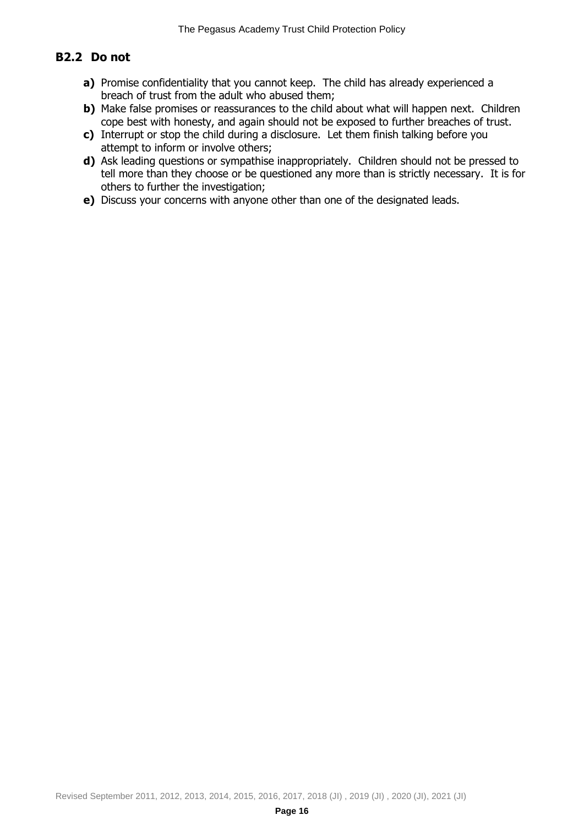# **B2.2 Do not**

- **a)** Promise confidentiality that you cannot keep. The child has already experienced a breach of trust from the adult who abused them;
- **b)** Make false promises or reassurances to the child about what will happen next. Children cope best with honesty, and again should not be exposed to further breaches of trust.
- **c)** Interrupt or stop the child during a disclosure. Let them finish talking before you attempt to inform or involve others;
- **d)** Ask leading questions or sympathise inappropriately. Children should not be pressed to tell more than they choose or be questioned any more than is strictly necessary. It is for others to further the investigation;
- **e)** Discuss your concerns with anyone other than one of the designated leads.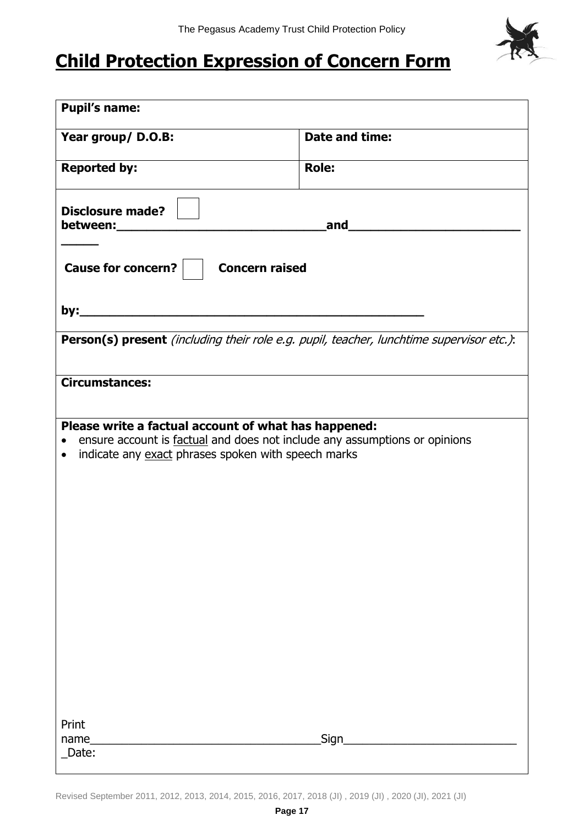

# **Child Protection Expression of Concern Form**

| <b>Pupil's name:</b>                                                                                                                                                                                        |                |  |  |
|-------------------------------------------------------------------------------------------------------------------------------------------------------------------------------------------------------------|----------------|--|--|
| Year group/ D.O.B:                                                                                                                                                                                          | Date and time: |  |  |
| <b>Reported by:</b>                                                                                                                                                                                         | Role:          |  |  |
| <b>Disclosure made?</b><br>and<br>between:__________                                                                                                                                                        |                |  |  |
| Cause for concern?<br><b>Concern raised</b>                                                                                                                                                                 |                |  |  |
|                                                                                                                                                                                                             |                |  |  |
| Person(s) present (including their role e.g. pupil, teacher, lunchtime supervisor etc.):                                                                                                                    |                |  |  |
| <b>Circumstances:</b>                                                                                                                                                                                       |                |  |  |
| Please write a factual account of what has happened:<br>ensure account is factual and does not include any assumptions or opinions<br>$\bullet$<br>indicate any exact phrases spoken with speech marks<br>٠ |                |  |  |
| Print<br>name<br>_Date:                                                                                                                                                                                     | Sign           |  |  |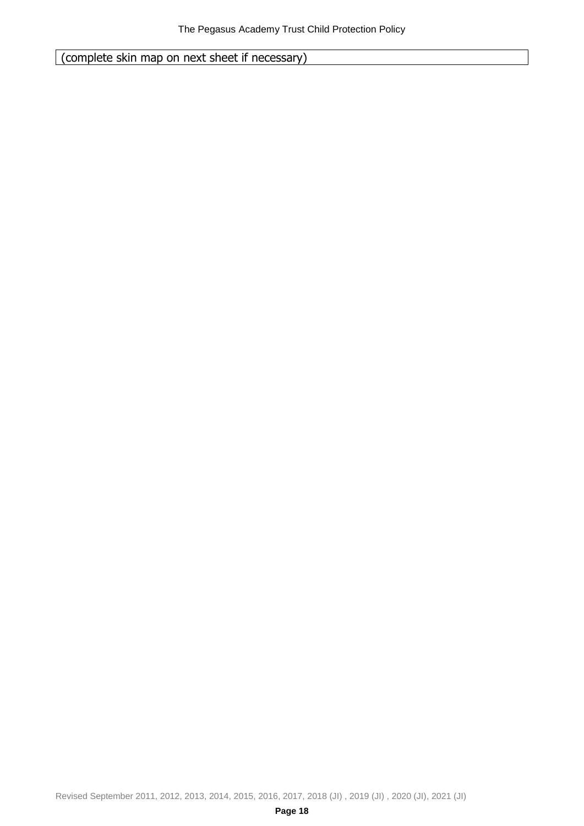(complete skin map on next sheet if necessary)